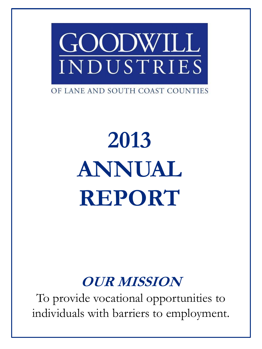

OF LANE AND SOUTH COAST COUNTIES

# **2013 ANNUAL REPORT**

### **OUR MISSION**

To provide vocational opportunities to individuals with barriers to employment.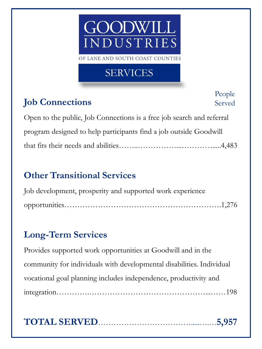## JDW ILI NDUSTRIES

OF LANE AND SOUTH COAST COUNTIES

#### SERVICES

#### **Job Connections**

People Served

Open to the public, Job Connections is a free job search and referral program designed to help participants find a job outside Goodwill that fits their needs and abilities……..……………...………….....4,483

#### **Other Transitional Services**

| Job development, prosperity and supported work experience |  |
|-----------------------------------------------------------|--|
|                                                           |  |

#### **Long-Term Services**

Provides supported work opportunities at Goodwill and in the community for individuals with developmental disabilities. Individual vocational goal planning includes independence, productivity and integration………….………………………………………...……198

#### **TOTAL SERVED**……………………………….....….…**5,957**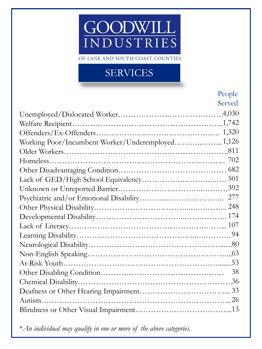### GOODWILL **INDUSTRIES**

OF LANE AND SOUTH COAST COUNTIES

#### SERVICES

|                                                   | People |
|---------------------------------------------------|--------|
|                                                   | Served |
|                                                   |        |
|                                                   |        |
|                                                   |        |
| Working Poor/Incumbent Worker/Underemployed 1,126 |        |
|                                                   |        |
|                                                   |        |
|                                                   |        |
|                                                   |        |
|                                                   |        |
|                                                   |        |
|                                                   |        |
|                                                   |        |
|                                                   |        |
|                                                   |        |
|                                                   |        |
|                                                   |        |
|                                                   |        |
|                                                   |        |
|                                                   |        |
|                                                   |        |
|                                                   |        |
|                                                   |        |

\**An individual may qualify in one or more of the above categories.*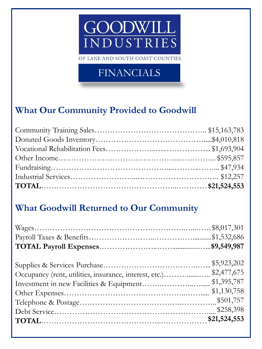### GOODWILL **INDUSTRIES**

OF LANE AND SOUTH COAST COUNTIES

#### FINANCIALS

#### **What Our Community Provided to Goodwill**

#### **What Goodwill Returned to Our Community**

| Occupancy (rent, utilities, insurance, interest, etc.)\$2,477,675 |             |
|-------------------------------------------------------------------|-------------|
|                                                                   | \$1,395,787 |
|                                                                   | \$1,130,758 |
|                                                                   |             |
|                                                                   |             |
|                                                                   |             |